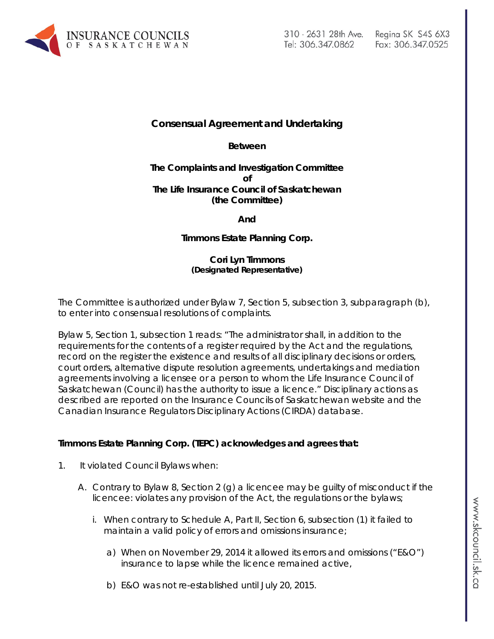

# Fax: 306.347.0525

## **Consensual Agreement and Undertaking**

**Between**

#### **The Complaints and Investigation Committee of The Life Insurance Council of Saskatchewan (the Committee)**

**And**

### **Timmons Estate Planning Corp.**

#### **Cori Lyn Timmons (Designated Representative)**

The Committee is authorized under Bylaw 7, Section 5, subsection 3, subparagraph (b), to enter into consensual resolutions of complaints.

Bylaw 5, Section 1, subsection 1 reads: "The administrator shall, in addition to the requirements for the contents of a register required by the Act and the regulations, record on the register the existence and results of all disciplinary decisions or orders, court orders, alternative dispute resolution agreements, undertakings and mediation agreements involving a licensee or a person to whom the Life Insurance Council of Saskatchewan (Council) has the authority to issue a licence." Disciplinary actions as described are reported on the Insurance Councils of Saskatchewan website and the Canadian Insurance Regulators Disciplinary Actions (CIRDA) database.

#### **Timmons Estate Planning Corp. (TEPC) acknowledges and agrees that:**

- 1. It violated Council Bylaws when:
	- A. Contrary to Bylaw 8, Section 2 (g) a licencee may be guilty of misconduct if the licencee: violates any provision of the Act, the regulations or the bylaws;
		- i. When contrary to Schedule A, Part II, Section 6, subsection (1) it failed to maintain a valid policy of errors and omissions insurance;
			- a) When on November 29, 2014 it allowed its errors and omissions ("E&O") insurance to lapse while the licence remained active,
			- b) E&O was not re-established until July 20, 2015.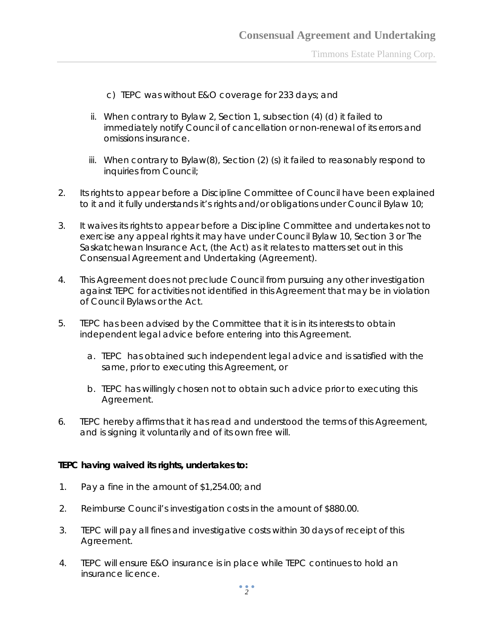Timmons Estate Planning Corp.

- c) TEPC was without E&O coverage for 233 days; and
- ii. When contrary to Bylaw 2, Section 1, subsection (4) (d) it failed to immediately notify Council of cancellation or non-renewal of its errors and omissions insurance.
- iii. When contrary to Bylaw(8), Section (2) (s) it failed to reasonably respond to inquiries from Council;
- 2. Its rights to appear before a Discipline Committee of Council have been explained to it and it fully understands it's rights and/or obligations under Council Bylaw 10;
- 3. It waives its rights to appear before a Discipline Committee and undertakes not to exercise any appeal rights it may have under Council Bylaw 10, Section 3 or *The Saskatchewan Insurance Act,* (the Act) as it relates to matters set out in this Consensual Agreement and Undertaking (Agreement).
- 4. This Agreement does not preclude Council from pursuing any other investigation against TEPC for activities not identified in this Agreement that may be in violation of Council Bylaws or the Act.
- 5. TEPC has been advised by the Committee that it is in its interests to obtain independent legal advice before entering into this Agreement.
	- a. TEPC has obtained such independent legal advice and is satisfied with the same, prior to executing this Agreement, or
	- b. TEPC has willingly chosen not to obtain such advice prior to executing this Agreement.
- 6. TEPC hereby affirms that it has read and understood the terms of this Agreement, and is signing it voluntarily and of its own free will.

#### **TEPC having waived its rights, undertakes to:**

- 1. Pay a fine in the amount of \$1,254.00; and
- 2. Reimburse Council's investigation costs in the amount of \$880.00.
- 3. TEPC will pay all fines and investigative costs within 30 days of receipt of this Agreement.
- 4. TEPC will ensure E&O insurance is in place while TEPC continues to hold an insurance licence.